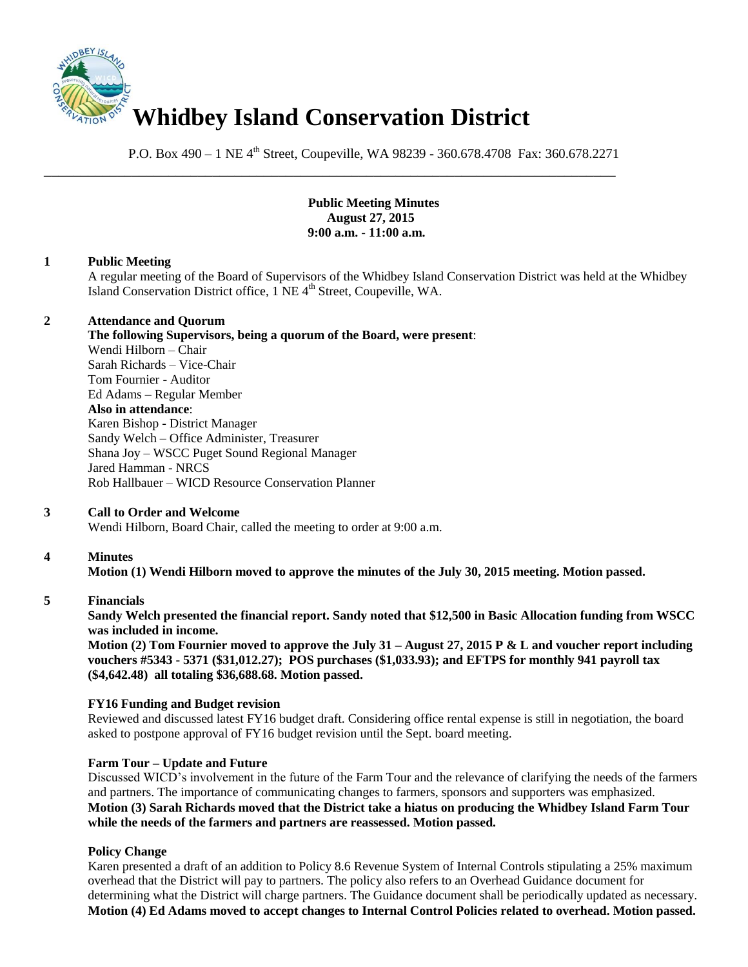

P.O. Box 490 – 1 NE 4<sup>th</sup> Street, Coupeville, WA 98239 - 360.678.4708 Fax: 360.678.2271

\_\_\_\_\_\_\_\_\_\_\_\_\_\_\_\_\_\_\_\_\_\_\_\_\_\_\_\_\_\_\_\_\_\_\_\_\_\_\_\_\_\_\_\_\_\_\_\_\_\_\_\_\_\_\_\_\_\_\_\_\_\_\_\_\_\_\_\_\_\_\_\_\_\_\_\_\_\_

**Public Meeting Minutes August 27, 2015 9:00 a.m. - 11:00 a.m.** 

## **1 Public Meeting**

A regular meeting of the Board of Supervisors of the Whidbey Island Conservation District was held at the Whidbey Island Conservation District office, 1 NE 4<sup>th</sup> Street, Coupeville, WA.

## **2 Attendance and Quorum**

**The following Supervisors, being a quorum of the Board, were present**: Wendi Hilborn – Chair Sarah Richards – Vice-Chair Tom Fournier - Auditor Ed Adams – Regular Member **Also in attendance**: Karen Bishop - District Manager Sandy Welch – Office Administer, Treasurer Shana Joy – WSCC Puget Sound Regional Manager Jared Hamman - NRCS Rob Hallbauer – WICD Resource Conservation Planner

# **3 Call to Order and Welcome**

Wendi Hilborn, Board Chair, called the meeting to order at 9:00 a.m.

# **4 Minutes**

**Motion (1) Wendi Hilborn moved to approve the minutes of the July 30, 2015 meeting. Motion passed.** 

### **5 Financials**

**Sandy Welch presented the financial report. Sandy noted that \$12,500 in Basic Allocation funding from WSCC was included in income.** 

**Motion (2) Tom Fournier moved to approve the July 31 – August 27, 2015 P & L and voucher report including vouchers #5343 - 5371 (\$31,012.27); POS purchases (\$1,033.93); and EFTPS for monthly 941 payroll tax (\$4,642.48) all totaling \$36,688.68. Motion passed.**

### **FY16 Funding and Budget revision**

Reviewed and discussed latest FY16 budget draft. Considering office rental expense is still in negotiation, the board asked to postpone approval of FY16 budget revision until the Sept. board meeting.

### **Farm Tour – Update and Future**

Discussed WICD's involvement in the future of the Farm Tour and the relevance of clarifying the needs of the farmers and partners. The importance of communicating changes to farmers, sponsors and supporters was emphasized. **Motion (3) Sarah Richards moved that the District take a hiatus on producing the Whidbey Island Farm Tour while the needs of the farmers and partners are reassessed. Motion passed.**

# **Policy Change**

Karen presented a draft of an addition to Policy 8.6 Revenue System of Internal Controls stipulating a 25% maximum overhead that the District will pay to partners. The policy also refers to an Overhead Guidance document for determining what the District will charge partners. The Guidance document shall be periodically updated as necessary. **Motion (4) Ed Adams moved to accept changes to Internal Control Policies related to overhead. Motion passed.**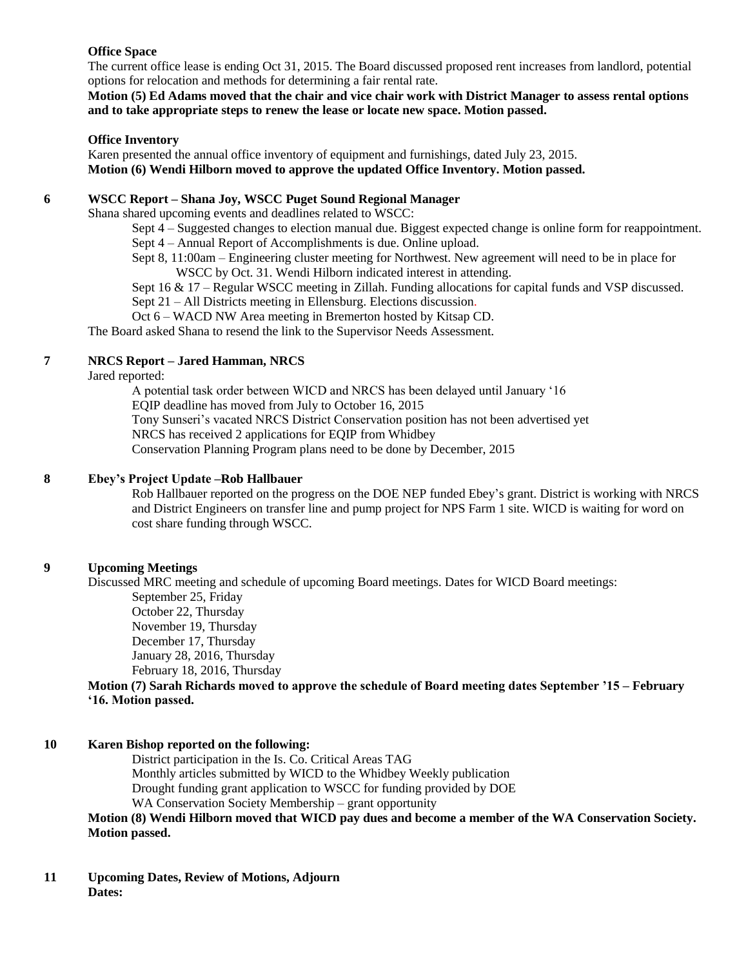## **Office Space**

The current office lease is ending Oct 31, 2015. The Board discussed proposed rent increases from landlord, potential options for relocation and methods for determining a fair rental rate.

**Motion (5) Ed Adams moved that the chair and vice chair work with District Manager to assess rental options and to take appropriate steps to renew the lease or locate new space. Motion passed.**

## **Office Inventory**

Karen presented the annual office inventory of equipment and furnishings, dated July 23, 2015. **Motion (6) Wendi Hilborn moved to approve the updated Office Inventory. Motion passed.**

## **6 WSCC Report – Shana Joy, WSCC Puget Sound Regional Manager**

Shana shared upcoming events and deadlines related to WSCC:

Sept 4 – Suggested changes to election manual due. Biggest expected change is online form for reappointment. Sept 4 – Annual Report of Accomplishments is due. Online upload.

Sept 8, 11:00am – Engineering cluster meeting for Northwest. New agreement will need to be in place for WSCC by Oct. 31. Wendi Hilborn indicated interest in attending.

Sept 16 & 17 – Regular WSCC meeting in Zillah. Funding allocations for capital funds and VSP discussed. Sept 21 – All Districts meeting in Ellensburg. Elections discussion.

Oct 6 – WACD NW Area meeting in Bremerton hosted by Kitsap CD.

The Board asked Shana to resend the link to the Supervisor Needs Assessment.

# **7 NRCS Report – Jared Hamman, NRCS**

Jared reported:

A potential task order between WICD and NRCS has been delayed until January '16 EQIP deadline has moved from July to October 16, 2015 Tony Sunseri's vacated NRCS District Conservation position has not been advertised yet NRCS has received 2 applications for EQIP from Whidbey Conservation Planning Program plans need to be done by December, 2015

# **8 Ebey's Project Update –Rob Hallbauer**

Rob Hallbauer reported on the progress on the DOE NEP funded Ebey's grant. District is working with NRCS and District Engineers on transfer line and pump project for NPS Farm 1 site. WICD is waiting for word on cost share funding through WSCC.

# **9 Upcoming Meetings**

Discussed MRC meeting and schedule of upcoming Board meetings. Dates for WICD Board meetings: September 25, Friday October 22, Thursday November 19, Thursday December 17, Thursday January 28, 2016, Thursday February 18, 2016, Thursday **Motion (7) Sarah Richards moved to approve the schedule of Board meeting dates September '15 – February** 

### **'16. Motion passed.**

### **10 Karen Bishop reported on the following:**

District participation in the Is. Co. Critical Areas TAG Monthly articles submitted by WICD to the Whidbey Weekly publication Drought funding grant application to WSCC for funding provided by DOE WA Conservation Society Membership – grant opportunity

**Motion (8) Wendi Hilborn moved that WICD pay dues and become a member of the WA Conservation Society. Motion passed.** 

**11 Upcoming Dates, Review of Motions, Adjourn Dates:**